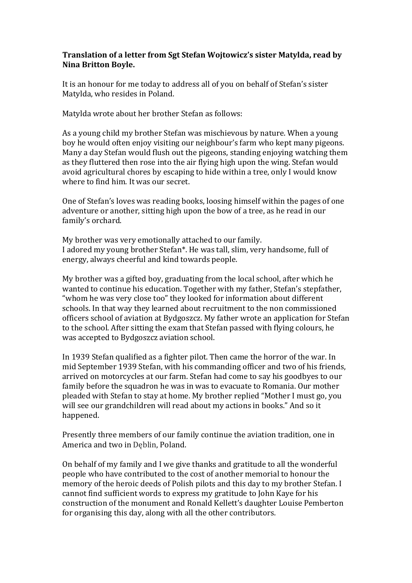## **Translation of a letter from Sgt Stefan Wojtowicz's sister Matylda, read by Nina Britton Boyle.**

It is an honour for me today to address all of you on behalf of Stefan's sister Matylda, who resides in Poland.

Matylda wrote about her brother Stefan as follows:

As a young child my brother Stefan was mischievous by nature. When a young boy he would often enjoy visiting our neighbour's farm who kept many pigeons. Many a day Stefan would flush out the pigeons, standing enjoying watching them as they fluttered then rose into the air flying high upon the wing. Stefan would avoid agricultural chores by escaping to hide within a tree, only I would know where to find him. It was our secret.

One of Stefan's loves was reading books, loosing himself within the pages of one adventure or another, sitting high upon the bow of a tree, as he read in our family's orchard.

My brother was very emotionally attached to our family. I adored my young brother Stefan\*. He was tall, slim, very handsome, full of energy, always cheerful and kind towards people.

My brother was a gifted boy, graduating from the local school, after which he wanted to continue his education. Together with my father, Stefan's stepfather, "whom he was very close too" they looked for information about different schools. In that way they learned about recruitment to the non commissioned officers school of aviation at Bydgoszcz. My father wrote an application for Stefan to the school. After sitting the exam that Stefan passed with flying colours, he was accepted to Bydgoszcz aviation school.

In 1939 Stefan qualified as a fighter pilot. Then came the horror of the war. In mid September 1939 Stefan, with his commanding officer and two of his friends, arrived on motorcycles at our farm. Stefan had come to say his goodbyes to our family before the squadron he was in was to evacuate to Romania. Our mother pleaded with Stefan to stay at home. My brother replied "Mother I must go, you will see our grandchildren will read about my actions in books." And so it happened.

Presently three members of our family continue the aviation tradition, one in America and two in Deblin, Poland.

On behalf of my family and I we give thanks and gratitude to all the wonderful people who have contributed to the cost of another memorial to honour the memory of the heroic deeds of Polish pilots and this day to my brother Stefan. I cannot find sufficient words to express my gratitude to John Kaye for his construction of the monument and Ronald Kellett's daughter Louise Pemberton for organising this day, along with all the other contributors.